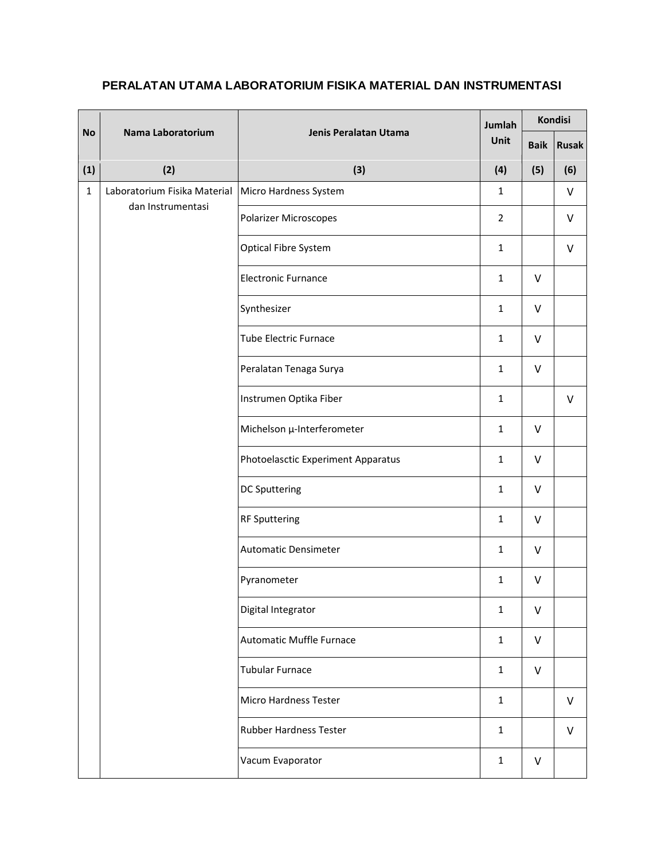| <b>No</b>    | Nama Laboratorium                                 | Jenis Peralatan Utama              | Jumlah<br>Unit | <b>Kondisi</b> |              |
|--------------|---------------------------------------------------|------------------------------------|----------------|----------------|--------------|
|              |                                                   |                                    |                | <b>Baik</b>    | <b>Rusak</b> |
| (1)          | (2)                                               | (3)                                | (4)            | (5)            | (6)          |
| $\mathbf{1}$ | Laboratorium Fisika Material<br>dan Instrumentasi | Micro Hardness System              | $\mathbf{1}$   |                | V            |
|              |                                                   | <b>Polarizer Microscopes</b>       | $\overline{2}$ |                | $\vee$       |
|              |                                                   | Optical Fibre System               | $\mathbf{1}$   |                | V            |
|              |                                                   | <b>Electronic Furnance</b>         | $\mathbf{1}$   | $\vee$         |              |
|              |                                                   | Synthesizer                        | $\mathbf{1}$   | $\vee$         |              |
|              |                                                   | <b>Tube Electric Furnace</b>       | $\mathbf{1}$   | $\vee$         |              |
|              |                                                   | Peralatan Tenaga Surya             | $\mathbf{1}$   | $\vee$         |              |
|              |                                                   | Instrumen Optika Fiber             | $\mathbf{1}$   |                | $\vee$       |
|              |                                                   | Michelson µ-Interferometer         | $\mathbf{1}$   | $\vee$         |              |
|              |                                                   | Photoelasctic Experiment Apparatus | $\mathbf{1}$   | $\vee$         |              |
|              |                                                   | <b>DC Sputtering</b>               | $\mathbf{1}$   | $\vee$         |              |
|              |                                                   | <b>RF Sputtering</b>               | $\mathbf{1}$   | $\vee$         |              |
|              |                                                   | <b>Automatic Densimeter</b>        | $\mathbf{1}$   | $\vee$         |              |
|              |                                                   | Pyranometer                        | $\mathbf{1}$   | $\vee$         |              |
|              |                                                   | Digital Integrator                 | $\mathbf{1}$   | $\vee$         |              |
|              |                                                   | Automatic Muffle Furnace           | $\mathbf{1}$   | V              |              |
|              |                                                   | <b>Tubular Furnace</b>             | $\mathbf{1}$   | V              |              |
|              |                                                   | Micro Hardness Tester              | $\mathbf{1}$   |                | V            |
|              |                                                   | <b>Rubber Hardness Tester</b>      | $\mathbf{1}$   |                | V            |
|              |                                                   | Vacum Evaporator                   | $\mathbf{1}$   | V              |              |

## **PERALATAN UTAMA LABORATORIUM FISIKA MATERIAL DAN INSTRUMENTASI**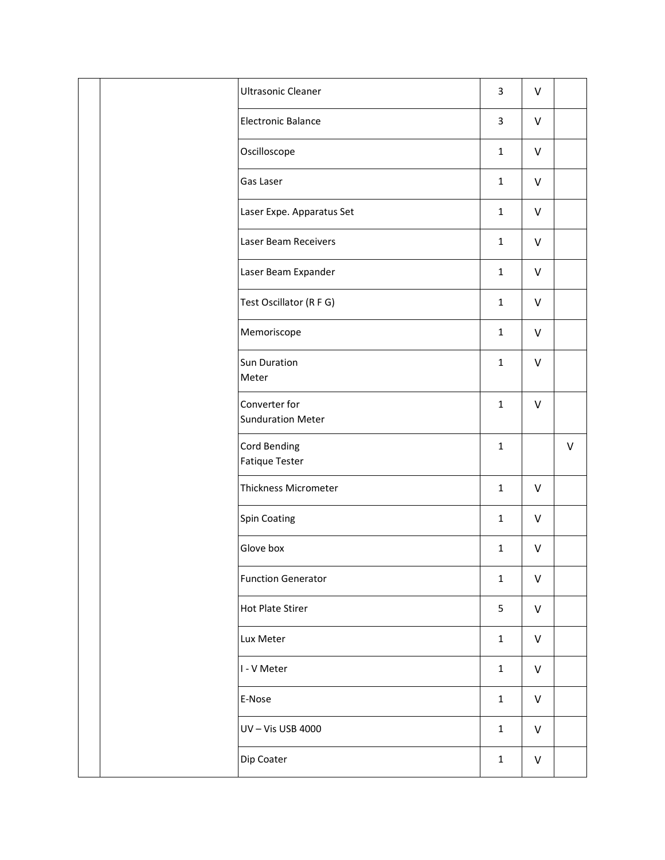|  |                           | <b>Ultrasonic Cleaner</b>                 | $\mathbf{3}$ | V            |         |
|--|---------------------------|-------------------------------------------|--------------|--------------|---------|
|  |                           | <b>Electronic Balance</b>                 | $\mathbf{3}$ | $\vee$       |         |
|  |                           | Oscilloscope                              | $\mathbf{1}$ | $\vee$       |         |
|  |                           | Gas Laser                                 | $\mathbf{1}$ | $\vee$       |         |
|  | Laser Expe. Apparatus Set | $\mathbf{1}$                              | $\vee$       |              |         |
|  | Laser Beam Receivers      | $\mathbf 1$                               | $\vee$       |              |         |
|  | Laser Beam Expander       | $\mathbf{1}$                              | $\vee$       |              |         |
|  | Test Oscillator (R F G)   | $\mathbf{1}$                              | $\vee$       |              |         |
|  | Memoriscope               | $\mathbf{1}$                              | $\vee$       |              |         |
|  |                           | Sun Duration<br>Meter                     | $\mathbf{1}$ | $\vee$       |         |
|  |                           | Converter for<br><b>Sunduration Meter</b> | $\mathbf{1}$ | $\vee$       |         |
|  |                           | Cord Bending                              | $\mathbf 1$  |              | $\sf V$ |
|  |                           | <b>Fatique Tester</b>                     |              |              |         |
|  |                           | <b>Thickness Micrometer</b>               | $\mathbf{1}$ | $\mathsf{V}$ |         |
|  |                           | <b>Spin Coating</b>                       | $\mathbf{1}$ | $\vee$       |         |
|  |                           | Glove box                                 | $\mathbf{1}$ | V            |         |
|  |                           | <b>Function Generator</b>                 | $\mathbf{1}$ | $\vee$       |         |
|  |                           | <b>Hot Plate Stirer</b>                   | 5            | $\sf V$      |         |
|  |                           | Lux Meter                                 | $\mathbf 1$  | $\vee$       |         |
|  |                           | I - V Meter                               | $\mathbf 1$  | $\vee$       |         |
|  |                           | E-Nose                                    | $\mathbf{1}$ | $\sf V$      |         |
|  |                           | UV-Vis USB 4000                           | $\mathbf{1}$ | $\vee$       |         |